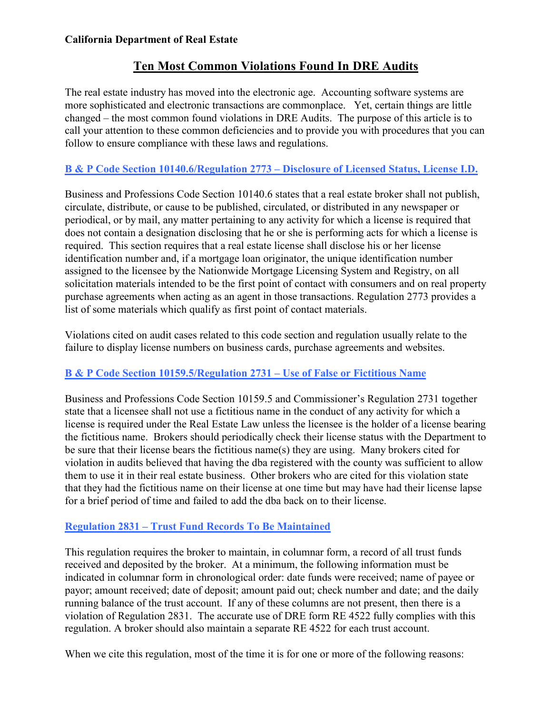# **Ten Most Common Violations Found In DRE Audits**

The real estate industry has moved into the electronic age. Accounting software systems are more sophisticated and electronic transactions are commonplace. Yet, certain things are little changed – the most common found violations in DRE Audits. The purpose of this article is to call your attention to these common deficiencies and to provide you with procedures that you can follow to ensure compliance with these laws and regulations.

# **B & P Code Section 10140.6/Regulation 2773 – Disclosure of Licensed Status, License I.D.**

Business and Professions Code Section 10140.6 states that a real estate broker shall not publish, circulate, distribute, or cause to be published, circulated, or distributed in any newspaper or periodical, or by mail, any matter pertaining to any activity for which a license is required that does not contain a designation disclosing that he or she is performing acts for which a license is required. This section requires that a real estate license shall disclose his or her license identification number and, if a mortgage loan originator, the unique identification number assigned to the licensee by the Nationwide Mortgage Licensing System and Registry, on all solicitation materials intended to be the first point of contact with consumers and on real property purchase agreements when acting as an agent in those transactions. Regulation 2773 provides a list of some materials which qualify as first point of contact materials.

Violations cited on audit cases related to this code section and regulation usually relate to the failure to display license numbers on business cards, purchase agreements and websites.

### **B & P Code Section 10159.5/Regulation 2731** *–* **Use of False or Fictitious Name**

Business and Professions Code Section 10159.5 and Commissioner's Regulation 2731 together state that a licensee shall not use a fictitious name in the conduct of any activity for which a license is required under the Real Estate Law unless the licensee is the holder of a license bearing the fictitious name. Brokers should periodically check their license status with the Department to be sure that their license bears the fictitious name(s) they are using. Many brokers cited for violation in audits believed that having the dba registered with the county was sufficient to allow them to use it in their real estate business. Other brokers who are cited for this violation state that they had the fictitious name on their license at one time but may have had their license lapse for a brief period of time and failed to add the dba back on to their license.

### **Regulation 2831 – Trust Fund Records To Be Maintained**

This regulation requires the broker to maintain, in columnar form, a record of all trust funds received and deposited by the broker. At a minimum, the following information must be indicated in columnar form in chronological order: date funds were received; name of payee or payor; amount received; date of deposit; amount paid out; check number and date; and the daily running balance of the trust account. If any of these columns are not present, then there is a violation of Regulation 2831. The accurate use of DRE form RE 4522 fully complies with this regulation. A broker should also maintain a separate RE 4522 for each trust account.

When we cite this regulation, most of the time it is for one or more of the following reasons: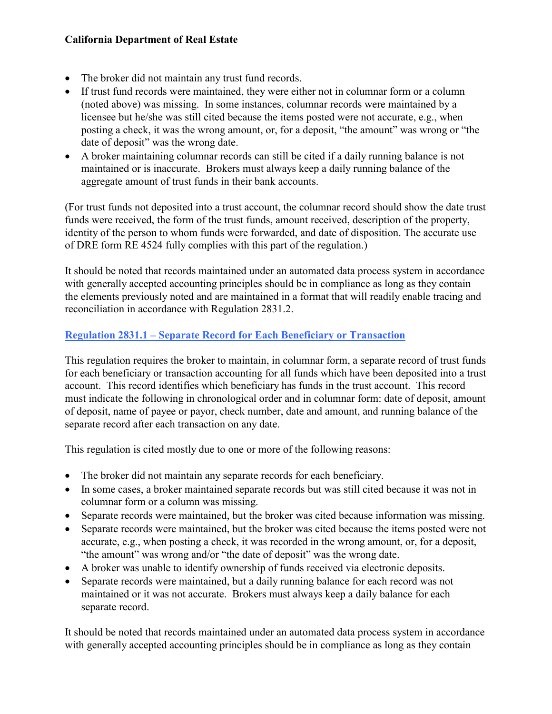- The broker did not maintain any trust fund records.
- If trust fund records were maintained, they were either not in columnar form or a column (noted above) was missing. In some instances, columnar records were maintained by a licensee but he/she was still cited because the items posted were not accurate, e.g., when posting a check, it was the wrong amount, or, for a deposit, "the amount" was wrong or "the date of deposit" was the wrong date.
- A broker maintaining columnar records can still be cited if a daily running balance is not maintained or is inaccurate. Brokers must always keep a daily running balance of the aggregate amount of trust funds in their bank accounts.

(For trust funds not deposited into a trust account, the columnar record should show the date trust funds were received, the form of the trust funds, amount received, description of the property, identity of the person to whom funds were forwarded, and date of disposition. The accurate use of DRE form RE 4524 fully complies with this part of the regulation.)

It should be noted that records maintained under an automated data process system in accordance with generally accepted accounting principles should be in compliance as long as they contain the elements previously noted and are maintained in a format that will readily enable tracing and reconciliation in accordance with Regulation 2831.2.

### **Regulation 2831.1 – Separate Record for Each Beneficiary or Transaction**

This regulation requires the broker to maintain, in columnar form, a separate record of trust funds for each beneficiary or transaction accounting for all funds which have been deposited into a trust account. This record identifies which beneficiary has funds in the trust account. This record must indicate the following in chronological order and in columnar form: date of deposit, amount of deposit, name of payee or payor, check number, date and amount, and running balance of the separate record after each transaction on any date.

This regulation is cited mostly due to one or more of the following reasons:

- The broker did not maintain any separate records for each beneficiary.
- In some cases, a broker maintained separate records but was still cited because it was not in columnar form or a column was missing.
- Separate records were maintained, but the broker was cited because information was missing.
- Separate records were maintained, but the broker was cited because the items posted were not accurate, e.g., when posting a check, it was recorded in the wrong amount, or, for a deposit, "the amount" was wrong and/or "the date of deposit" was the wrong date.
- A broker was unable to identify ownership of funds received via electronic deposits.
- Separate records were maintained, but a daily running balance for each record was not maintained or it was not accurate. Brokers must always keep a daily balance for each separate record.

It should be noted that records maintained under an automated data process system in accordance with generally accepted accounting principles should be in compliance as long as they contain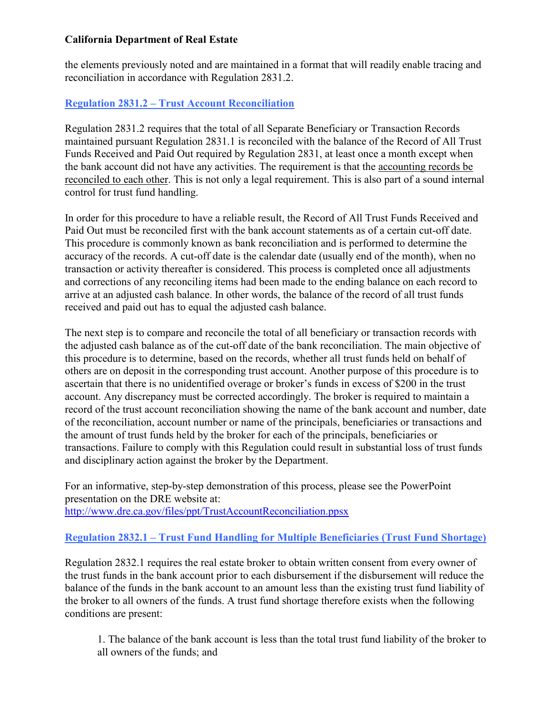the elements previously noted and are maintained in a format that will readily enable tracing and reconciliation in accordance with Regulation 2831.2.

### **Regulation 2831.2 – Trust Account Reconciliation**

Regulation 2831.2 requires that the total of all Separate Beneficiary or Transaction Records maintained pursuant Regulation 2831.1 is reconciled with the balance of the Record of All Trust Funds Received and Paid Out required by Regulation 2831, at least once a month except when the bank account did not have any activities. The requirement is that the accounting records be reconciled to each other. This is not only a legal requirement. This is also part of a sound internal control for trust fund handling.

In order for this procedure to have a reliable result, the Record of All Trust Funds Received and Paid Out must be reconciled first with the bank account statements as of a certain cut-off date. This procedure is commonly known as bank reconciliation and is performed to determine the accuracy of the records. A cut-off date is the calendar date (usually end of the month), when no transaction or activity thereafter is considered. This process is completed once all adjustments and corrections of any reconciling items had been made to the ending balance on each record to arrive at an adjusted cash balance. In other words, the balance of the record of all trust funds received and paid out has to equal the adjusted cash balance.

The next step is to compare and reconcile the total of all beneficiary or transaction records with the adjusted cash balance as of the cut-off date of the bank reconciliation. The main objective of this procedure is to determine, based on the records, whether all trust funds held on behalf of others are on deposit in the corresponding trust account. Another purpose of this procedure is to ascertain that there is no unidentified overage or broker's funds in excess of \$200 in the trust account. Any discrepancy must be corrected accordingly. The broker is required to maintain a record of the trust account reconciliation showing the name of the bank account and number, date of the reconciliation, account number or name of the principals, beneficiaries or transactions and the amount of trust funds held by the broker for each of the principals, beneficiaries or transactions. Failure to comply with this Regulation could result in substantial loss of trust funds and disciplinary action against the broker by the Department.

For an informative, step-by-step demonstration of this process, please see the PowerPoint presentation on the DRE website at: <http://www.dre.ca.gov/files/ppt/TrustAccountReconciliation.ppsx>

### **Regulation 2832.1 – Trust Fund Handling for Multiple Beneficiaries (Trust Fund Shortage)**

Regulation 2832.1 requires the real estate broker to obtain written consent from every owner of the trust funds in the bank account prior to each disbursement if the disbursement will reduce the balance of the funds in the bank account to an amount less than the existing trust fund liability of the broker to all owners of the funds. A trust fund shortage therefore exists when the following conditions are present:

1. The balance of the bank account is less than the total trust fund liability of the broker to all owners of the funds; and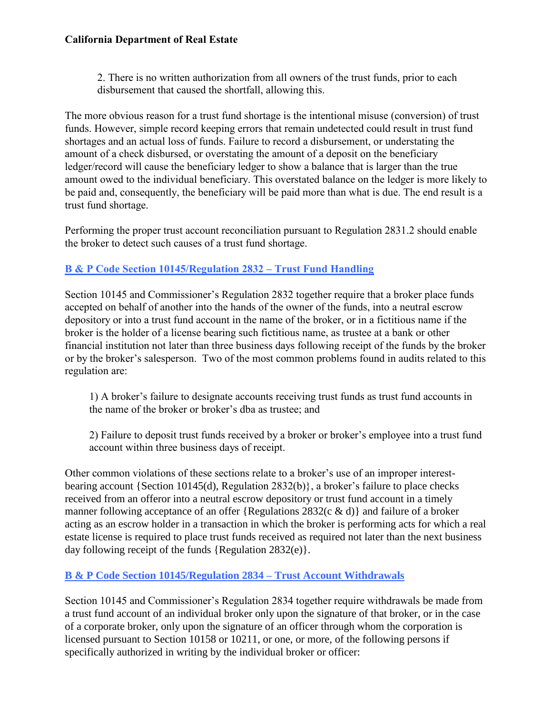2. There is no written authorization from all owners of the trust funds, prior to each disbursement that caused the shortfall, allowing this.

The more obvious reason for a trust fund shortage is the intentional misuse (conversion) of trust funds. However, simple record keeping errors that remain undetected could result in trust fund shortages and an actual loss of funds. Failure to record a disbursement, or understating the amount of a check disbursed, or overstating the amount of a deposit on the beneficiary ledger/record will cause the beneficiary ledger to show a balance that is larger than the true amount owed to the individual beneficiary. This overstated balance on the ledger is more likely to be paid and, consequently, the beneficiary will be paid more than what is due. The end result is a trust fund shortage.

Performing the proper trust account reconciliation pursuant to Regulation 2831.2 should enable the broker to detect such causes of a trust fund shortage.

### **B & P Code Section 10145/Regulation 2832 – Trust Fund Handling**

Section 10145 and Commissioner's Regulation 2832 together require that a broker place funds accepted on behalf of another into the hands of the owner of the funds, into a neutral escrow depository or into a trust fund account in the name of the broker, or in a fictitious name if the broker is the holder of a license bearing such fictitious name, as trustee at a bank or other financial institution not later than three business days following receipt of the funds by the broker or by the broker's salesperson. Two of the most common problems found in audits related to this regulation are:

1) A broker's failure to designate accounts receiving trust funds as trust fund accounts in the name of the broker or broker's dba as trustee; and

2) Failure to deposit trust funds received by a broker or broker's employee into a trust fund account within three business days of receipt.

Other common violations of these sections relate to a broker's use of an improper interestbearing account {Section 10145(d), Regulation 2832(b)}, a broker's failure to place checks received from an offeror into a neutral escrow depository or trust fund account in a timely manner following acceptance of an offer {Regulations 2832(c & d)} and failure of a broker acting as an escrow holder in a transaction in which the broker is performing acts for which a real estate license is required to place trust funds received as required not later than the next business day following receipt of the funds {Regulation 2832(e)}.

### **B & P Code Section 10145/Regulation 2834 – Trust Account Withdrawals**

Section 10145 and Commissioner's Regulation 2834 together require withdrawals be made from a trust fund account of an individual broker only upon the signature of that broker, or in the case of a corporate broker, only upon the signature of an officer through whom the corporation is licensed pursuant to Section 10158 or 10211, or one, or more, of the following persons if specifically authorized in writing by the individual broker or officer: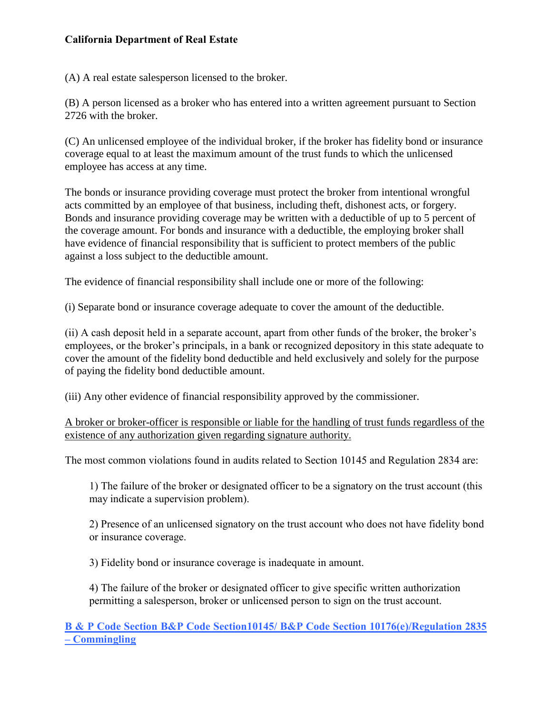(A) A real estate salesperson licensed to the broker.

(B) A person licensed as a broker who has entered into a written agreement pursuant to Section 2726 with the broker.

(C) An unlicensed employee of the individual broker, if the broker has fidelity bond or insurance coverage equal to at least the maximum amount of the trust funds to which the unlicensed employee has access at any time.

The bonds or insurance providing coverage must protect the broker from intentional wrongful acts committed by an employee of that business, including theft, dishonest acts, or forgery. Bonds and insurance providing coverage may be written with a deductible of up to 5 percent of the coverage amount. For bonds and insurance with a deductible, the employing broker shall have evidence of financial responsibility that is sufficient to protect members of the public against a loss subject to the deductible amount.

The evidence of financial responsibility shall include one or more of the following:

(i) Separate bond or insurance coverage adequate to cover the amount of the deductible.

(ii) A cash deposit held in a separate account, apart from other funds of the broker, the broker's employees, or the broker's principals, in a bank or recognized depository in this state adequate to cover the amount of the fidelity bond deductible and held exclusively and solely for the purpose of paying the fidelity bond deductible amount.

(iii) Any other evidence of financial responsibility approved by the commissioner.

A broker or broker-officer is responsible or liable for the handling of trust funds regardless of the existence of any authorization given regarding signature authority.

The most common violations found in audits related to Section 10145 and Regulation 2834 are:

1) The failure of the broker or designated officer to be a signatory on the trust account (this may indicate a supervision problem).

2) Presence of an unlicensed signatory on the trust account who does not have fidelity bond or insurance coverage.

3) Fidelity bond or insurance coverage is inadequate in amount.

4) The failure of the broker or designated officer to give specific written authorization permitting a salesperson, broker or unlicensed person to sign on the trust account.

**B & P Code Section B&P Code Section10145/ B&P Code Section 10176(e)/Regulation 2835 – Commingling**